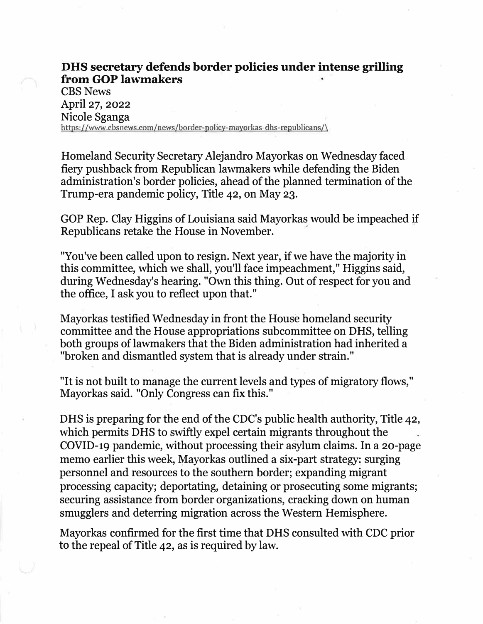## **DHS secretary defends border policies under intense grilling from GOP lawmakers**

CBS News April 27, 2022 Nicole Sganga https://www.cbsnews.com/news/border-policy-mayorkas-dbs-republicans/\

Homeland Security Secretary Alejandro Mayorkas on Wednesday faced fiery pushback from Republican lawmakers while defending the Biden administration's border policies, ahead of the planned termination of the Trump-era pandemic policy, Title 42, on May 23.

GOP Rep. Clay Higgins of Louisiana said Mayorkas would be impeached if Republicans retake the House in November.

"You've been called upon to resign. Next year, if we have the majority in this committee, which we shall, you'll face impeachment," Higgins said, during Wednesday's hearing. "Own this thing. Out of respect for you and the office, I ask you to reflect upon that."

Mayorkas testified Wednesday in front the House homeland security committee and the House appropriations subcommittee on DHS, telling both groups of lawmakers that the Biden administration had inherited a "broken and dismantled system that is already under strain."

"It is not built to manage the current levels and types of migratory flows," Mayorkas said. "Only Congress can fix this."

DHS is preparing for the end of the CDC's public health authority, Title 42, which permits DHS to swiftly expel certain migrants throughout the COVID-19 pandemic, without processing their asylum claims. In a 20-page memo earlier this week, Mayorkas outlined a six-part strategy: surging personnel and resources to the southern border; expanding migrant processing capacity; deportating, detaining or prosecuting some migrants; securing assistance from border organizations, cracking down on human smugglers and deterring migration across the Western Hemisphere.

Mayorkas confirmed for the first time that DHS consulted with CDC prior to the repeal of Title 42, as is required by law.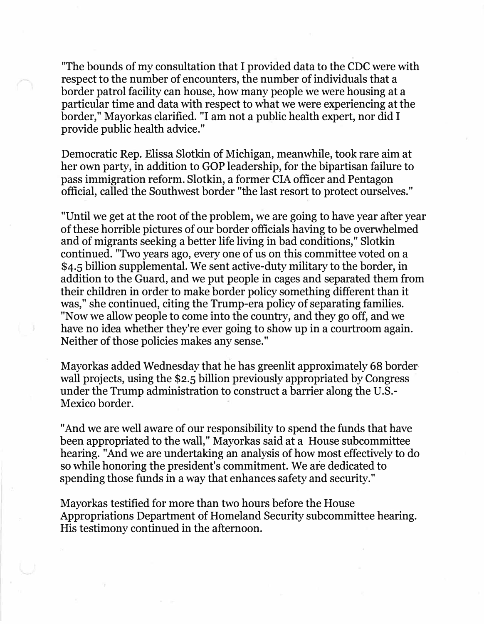"The bounds of my consultation that I provided data to the CDC were with respect to the number of encounters, the number of individuals that a border patrol facility can house, how many people we were housing at a particular time and data with respect to what we were experiencing at the border," Mayorkas clarified. "I am not a public health expert, nor did I provide public health advice."

Democratic Rep. Elissa Slotkin of Michigan, meanwhile, took rare aim at her own party, in addition to GOP leadership, for the bipartisan failure to pass immigration reform. Slotkin, a former CIA officer and Pentagon official, called the Southwest border "the last resort to protect ourselves."

"Until we get at the root of the problem, we are going to have year after year of these horrible pictures of our border officials having to be overwhelmed and of migrants seeking a better life living in bad conditions," Slotkin continued. "Two years ago, every one of us on this committee voted on a \$4.5 billion supplemental. We sent active-duty military to the border, in addition to the Guard, and we put people in cages and separated them from their children in order to make border policy something different than it was," she continued, citing the Trump-era policy of separating families. "Now we allow people to come into the country, and they go off, and we have no idea whether they're ever going to show up in a courtroom again. Neither of those policies makes any sense."

Mayorkas added Wednesday that he has greenlit approximately 68 border· wall projects, using the \$2.5 billion previously appropriated by Congress under the Trump administration to construct a barrier along the U.S. Mexico border.

"And we are well aware of our responsibility to spend the funds that have been appropriated to the wall," Mayorkas said at a House subcommittee hearing. "And we are undertaking an analysis of how most effectively to do so while honoring the president's commitment. We are dedicated to spending those funds in a way that enhances safety and security."

Mayorkas testified for more than two hours before the House Appropriations Department of Homeland Security subcommittee hearing. His testimony continued in the afternoon.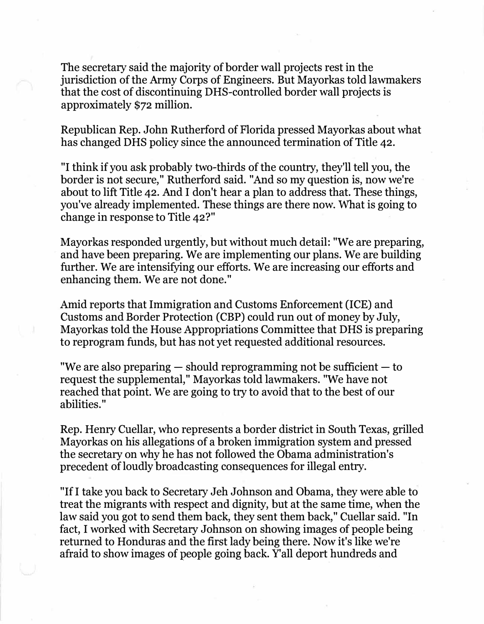The secretary said the majority of border wall projects rest in the jurisdiction of the Army Corps of Engineers. But Mayorkas told lawmakers that the cost of discontinuing DRS-controlled border wall projects is approximately \$72 million.

Republican Rep. John Rutherford of Florida pressed Mayorkas about what has changed DHS policy since the announced termination of Title 42.

"I think if you ask probably two-thirds of the country, they'll tell you, the border is not secure," Rutherford said. "And so my question is, now we're about to lift Title 42. And I don't hear a plan to address that. These things, you've already implemented. These things are there now. What is going to change in response to Title 42?"

Mayorkas responded urgently, but without much detail: "We are preparing, and have been preparing. We are implementing our plans. We are building further. We are intensifying our efforts. We are increasing our efforts and enhancing them. We are not done."

Amid reports that Immigration and Customs Enforcement (ICE) and Customs and Border Protection (CBP) could run out of money by July, Mayorkas told the House Appropriations Committee that DHS is preparing to reprogram funds, but has not yet requested additional resources.

"We are also preparing  $-$  should reprogramming not be sufficient  $-$  to request the supplemental," Mayorkas told lawmakers. "We have not reached that point. We are going to try to avoid that to the best of our abilities."

Rep. Henry Cuellar, who represents a border district in South Texas, grilled Mayorkas on his allegations of a broken immigration system and pressed the secretary on why he has not followed the Obama administration's precedent of loudly broadcasting consequences for illegal entry.

"If I take you back to Secretary Jeh Johnson and Obama, they were able to treat the migrants with respect and dignity, but at the same time, when the law said you got to send them back, they sent them back," Cuellar said. "In fact, I worked with Secretary Johnson on showing images of people being returned to Honduras and the first lady being there. Now it's like we're afraid to show images of people going back. Y'all deport hundreds and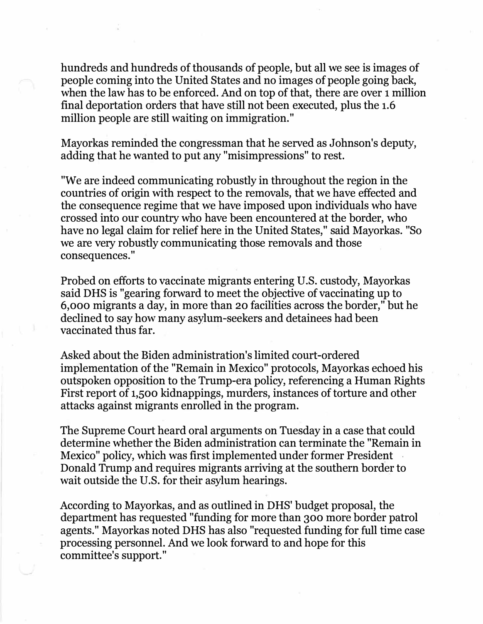hundreds and hundreds of thousands of people, but all we see is images of people coming into the United States and no images of people going back, when the law has to be enforced. And on top of that, there are over 1 million final deportation orders that have still not been executed, plus the 1.6 million people are still waiting on immigration."

Mayorkas reminded the congressman that he served as Johnson's deputy, adding that he wanted to put any "misimpressions" to rest.

"We are indeed communicating robustly in throughout the region in the countries of origin with respect to the removals, that we have effected and the consequence regime that we have imposed upon individuals who have crossed into our country who have been encountered at the border, who have no legal claim for relief here in the United States," said Mayorkas. "So we are very robustly communicating those removals and those consequences."

Probed on efforts to vaccinate migrants entering U.S. custody, Mayorkas said DHS is "gearing forward to meet the objective of vaccinating up to 6,000 migrants a day, in more than 20 facilities across the border," but he declined to say how many asylum-seekers and detainees had been vaccinated thus far.

Asked about the Biden administration's limited court-ordered implementation of the "Remain in Mexico" protocols, Mayorkas echoed his outspoken opposition to the Trump-era policy, referencing a Human Rights First report of 1,500 kidnappings, murders, instances of torture and other attacks against migrants enrolled in the program.

The Supreme Court heard oral arguments on Tuesday in a case that could determine whether the Biden administration can terminate the "Remain in Mexico" policy, which was first implemented under former President Donald Trump and requires migrants arriving at the southern border to wait outside the U.S. for their asylum hearings.

According to Mayorkas, and as outlined in DHS' budget proposal, the department has requested "funding for more than 300 more border patrol agents." Mayorkas noted DHS has also "requested funding for full time case processing personnel. And we look forward to and hope for this committee's support."